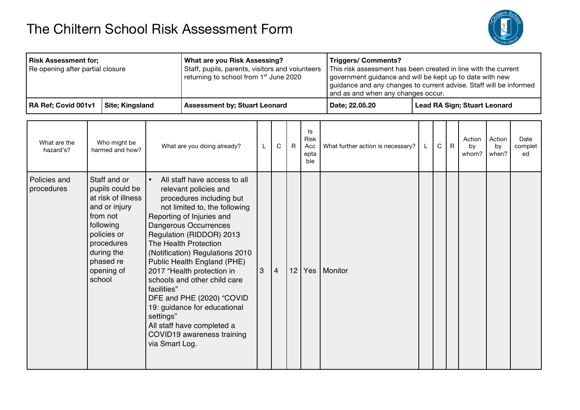## The Chiltern School Risk Assessment Form



| Risk Assessment for;<br>Re opening after partial closure |                         | What are you Risk Assessing?<br>Staff, pupils, parents, visitors and volunteers<br>returning to school from 1 <sup>st</sup> June 2020 | <b>Triggers/ Comments?</b><br>and as and when any changes occur. | This risk assessment has been created in line with the current<br>government guidance and will be kept up to date with new<br>guidance and any changes to current advise. Staff will be informed |
|----------------------------------------------------------|-------------------------|---------------------------------------------------------------------------------------------------------------------------------------|------------------------------------------------------------------|--------------------------------------------------------------------------------------------------------------------------------------------------------------------------------------------------|
| RA Ref; Covid 001v1                                      | <b>Site</b> ; Kingsland | <b>Assessment by: Stuart Leonard</b>                                                                                                  | Date: 22.05.20                                                   | <b>Lead RA Sign; Stuart Leonard</b>                                                                                                                                                              |

| What are the<br>hazard's?  | Who might be<br>harmed and how?                                                                                                                                                 | What are you doing already?                                                                                                                                                                                                                                                                                                                                                                                                                                                                                                                       | L | C              | $\mathsf{R}$    | Is<br><b>Risk</b><br>Acc<br>epta<br>ble | What further action is necessary? | L. | $\mathsf{C}$ | $\mathsf{R}$ | Action<br>by<br>whom? | Action<br>by<br>when? | Date<br>complet<br>ed |
|----------------------------|---------------------------------------------------------------------------------------------------------------------------------------------------------------------------------|---------------------------------------------------------------------------------------------------------------------------------------------------------------------------------------------------------------------------------------------------------------------------------------------------------------------------------------------------------------------------------------------------------------------------------------------------------------------------------------------------------------------------------------------------|---|----------------|-----------------|-----------------------------------------|-----------------------------------|----|--------------|--------------|-----------------------|-----------------------|-----------------------|
| Policies and<br>procedures | Staff and or<br>pupils could be<br>at risk of illness<br>and or injury<br>from not<br>following<br>policies or<br>procedures<br>during the<br>phased re<br>opening of<br>school | All staff have access to all<br>$\bullet$<br>relevant policies and<br>procedures including but<br>not limited to, the following<br>Reporting of Injuries and<br>Dangerous Occurrences<br>Regulation (RIDDOR) 2013<br>The Health Protection<br>(Notification) Regulations 2010<br>Public Health England (PHE)<br>2017 "Health protection in<br>schools and other child care<br>facilities"<br>DFE and PHE (2020) "COVID<br>19: guidance for educational<br>settings"<br>All staff have completed a<br>COVID19 awareness training<br>via Smart Log. | 3 | $\overline{4}$ | 12 <sup>1</sup> | Yes                                     | Monitor                           |    |              |              |                       |                       |                       |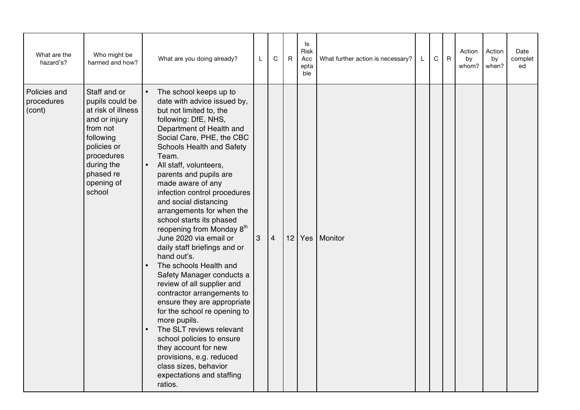| What are the<br>hazard's?            | Who might be<br>harmed and how?                                                                                                                                                 | What are you doing already?                                                                                                                                                                                                                                                                                                                                                                                                                                                                                                                                                                                                                                                                                                                                                                                                                                                                                                    | L               | C              | $\mathsf{R}$ | ls<br>Risk<br>Acc<br>epta<br>ble | What further action is necessary? | L. | C | $\mathsf{R}$ | Action<br>by<br>whom? | Action<br>by<br>when? | Date<br>complet<br>ed |
|--------------------------------------|---------------------------------------------------------------------------------------------------------------------------------------------------------------------------------|--------------------------------------------------------------------------------------------------------------------------------------------------------------------------------------------------------------------------------------------------------------------------------------------------------------------------------------------------------------------------------------------------------------------------------------------------------------------------------------------------------------------------------------------------------------------------------------------------------------------------------------------------------------------------------------------------------------------------------------------------------------------------------------------------------------------------------------------------------------------------------------------------------------------------------|-----------------|----------------|--------------|----------------------------------|-----------------------------------|----|---|--------------|-----------------------|-----------------------|-----------------------|
| Policies and<br>procedures<br>(cont) | Staff and or<br>pupils could be<br>at risk of illness<br>and or injury<br>from not<br>following<br>policies or<br>procedures<br>during the<br>phased re<br>opening of<br>school | The school keeps up to<br>$\bullet$<br>date with advice issued by,<br>but not limited to, the<br>following: DfE, NHS,<br>Department of Health and<br>Social Care, PHE, the CBC<br>Schools Health and Safety<br>Team.<br>$\bullet$<br>All staff, volunteers,<br>parents and pupils are<br>made aware of any<br>infection control procedures<br>and social distancing<br>arrangements for when the<br>school starts its phased<br>reopening from Monday 8 <sup>th</sup><br>June 2020 via email or<br>daily staff briefings and or<br>hand out's.<br>The schools Health and<br>Safety Manager conducts a<br>review of all supplier and<br>contractor arrangements to<br>ensure they are appropriate<br>for the school re opening to<br>more pupils.<br>The SLT reviews relevant<br>school policies to ensure<br>they account for new<br>provisions, e.g. reduced<br>class sizes, behavior<br>expectations and staffing<br>ratios. | $\vert 3 \vert$ | $\overline{4}$ |              |                                  | 12 Yes Monitor                    |    |   |              |                       |                       |                       |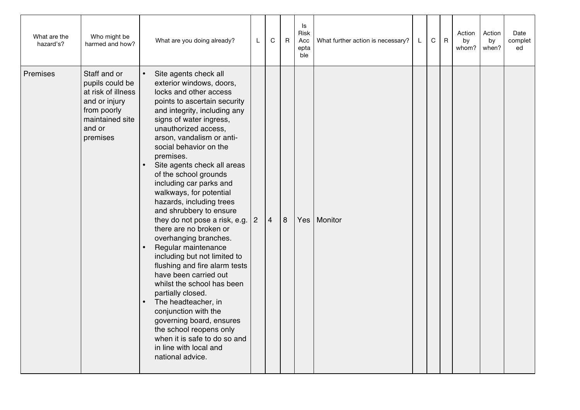| What are the<br>hazard's? | Who might be<br>harmed and how?                                                                                                | What are you doing already?                                                                                                                                                                                                                                                                                                                                                                                                                                                                                                                                                                                                                                                                                                                                                                                                                                                         | L              | $\mathbf C$    | $\mathsf{R}$ | ls<br>Risk<br>Acc<br>epta<br>ble | What further action is necessary? | L | $\mathbf C$ | $\mathsf{R}$ | Action<br>by<br>whom? | Action<br>by<br>when? | Date<br>complet<br>ed |
|---------------------------|--------------------------------------------------------------------------------------------------------------------------------|-------------------------------------------------------------------------------------------------------------------------------------------------------------------------------------------------------------------------------------------------------------------------------------------------------------------------------------------------------------------------------------------------------------------------------------------------------------------------------------------------------------------------------------------------------------------------------------------------------------------------------------------------------------------------------------------------------------------------------------------------------------------------------------------------------------------------------------------------------------------------------------|----------------|----------------|--------------|----------------------------------|-----------------------------------|---|-------------|--------------|-----------------------|-----------------------|-----------------------|
| Premises                  | Staff and or<br>pupils could be<br>at risk of illness<br>and or injury<br>from poorly<br>maintained site<br>and or<br>premises | Site agents check all<br>exterior windows, doors,<br>locks and other access<br>points to ascertain security<br>and integrity, including any<br>signs of water ingress,<br>unauthorized access,<br>arson, vandalism or anti-<br>social behavior on the<br>premises.<br>Site agents check all areas<br>of the school grounds<br>including car parks and<br>walkways, for potential<br>hazards, including trees<br>and shrubbery to ensure<br>they do not pose a risk, e.g.<br>there are no broken or<br>overhanging branches.<br>Regular maintenance<br>including but not limited to<br>flushing and fire alarm tests<br>have been carried out<br>whilst the school has been<br>partially closed.<br>The headteacher, in<br>conjunction with the<br>governing board, ensures<br>the school reopens only<br>when it is safe to do so and<br>in line with local and<br>national advice. | $\overline{2}$ | $\overline{4}$ | 8            | Yes                              | Monitor                           |   |             |              |                       |                       |                       |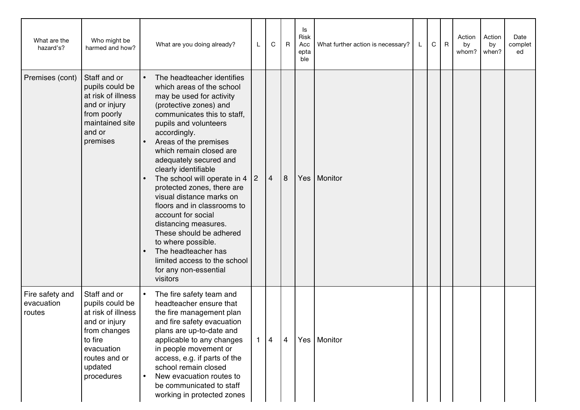| What are the<br>hazard's?               | Who might be<br>harmed and how?                                                                                                                           | What are you doing already?                                                                                                                                                                                                                                                                                                                                                                                                                                                                                                                                                                                                        | L | C              | $R_{\parallel}$ | ls<br>Risk<br>Acc<br>epta<br>ble | What further action is necessary? | L | С | $\mathsf{R}$ | Action<br>by<br>whom? | Action<br>by<br>when? | Date<br>complet<br>ed |
|-----------------------------------------|-----------------------------------------------------------------------------------------------------------------------------------------------------------|------------------------------------------------------------------------------------------------------------------------------------------------------------------------------------------------------------------------------------------------------------------------------------------------------------------------------------------------------------------------------------------------------------------------------------------------------------------------------------------------------------------------------------------------------------------------------------------------------------------------------------|---|----------------|-----------------|----------------------------------|-----------------------------------|---|---|--------------|-----------------------|-----------------------|-----------------------|
| Premises (cont)                         | Staff and or<br>pupils could be<br>at risk of illness<br>and or injury<br>from poorly<br>maintained site<br>and or<br>premises                            | The headteacher identifies<br>$\bullet$<br>which areas of the school<br>may be used for activity<br>(protective zones) and<br>communicates this to staff,<br>pupils and volunteers<br>accordingly.<br>Areas of the premises<br>which remain closed are<br>adequately secured and<br>clearly identifiable<br>The school will operate in 4 $ 2 $<br>protected zones, there are<br>visual distance marks on<br>floors and in classrooms to<br>account for social<br>distancing measures.<br>These should be adhered<br>to where possible.<br>The headteacher has<br>limited access to the school<br>for any non-essential<br>visitors |   | $\overline{4}$ | 8               | Yes                              | Monitor                           |   |   |              |                       |                       |                       |
| Fire safety and<br>evacuation<br>routes | Staff and or<br>pupils could be<br>at risk of illness<br>and or injury<br>from changes<br>to fire<br>evacuation<br>routes and or<br>updated<br>procedures | The fire safety team and<br>$\bullet$<br>headteacher ensure that<br>the fire management plan<br>and fire safety evacuation<br>plans are up-to-date and<br>applicable to any changes<br>in people movement or<br>access, e.g. if parts of the<br>school remain closed<br>New evacuation routes to<br>be communicated to staff<br>working in protected zones                                                                                                                                                                                                                                                                         | 1 | $\overline{4}$ | $\overline{4}$  |                                  | Yes   Monitor                     |   |   |              |                       |                       |                       |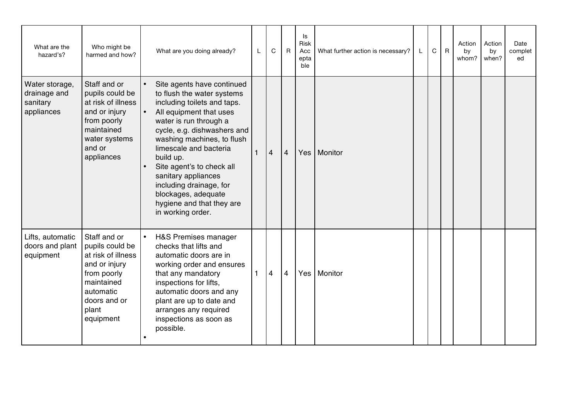| What are the<br>hazard's?                                | Who might be<br>harmed and how?                                                                                                                        |           | What are you doing already?                                                                                                                                                                                                                                                                                                                                                                              | L | C              | $\mathsf{R}$   | ls<br>Risk<br>Acc<br>epta<br>ble | What further action is necessary? | L. | C | $\overline{R}$ | Action<br>by<br>whom? | Action<br>by<br>when? | Date<br>complet<br>ed |
|----------------------------------------------------------|--------------------------------------------------------------------------------------------------------------------------------------------------------|-----------|----------------------------------------------------------------------------------------------------------------------------------------------------------------------------------------------------------------------------------------------------------------------------------------------------------------------------------------------------------------------------------------------------------|---|----------------|----------------|----------------------------------|-----------------------------------|----|---|----------------|-----------------------|-----------------------|-----------------------|
| Water storage,<br>drainage and<br>sanitary<br>appliances | Staff and or<br>pupils could be<br>at risk of illness<br>and or injury<br>from poorly<br>maintained<br>water systems<br>and or<br>appliances           | $\bullet$ | Site agents have continued<br>to flush the water systems<br>including toilets and taps.<br>All equipment that uses<br>water is run through a<br>cycle, e.g. dishwashers and<br>washing machines, to flush<br>limescale and bacteria<br>build up.<br>Site agent's to check all<br>sanitary appliances<br>including drainage, for<br>blockages, adequate<br>hygiene and that they are<br>in working order. |   | $\overline{4}$ | $\overline{4}$ | Yes                              | Monitor                           |    |   |                |                       |                       |                       |
| Lifts, automatic<br>doors and plant<br>equipment         | Staff and or<br>pupils could be<br>at risk of illness<br>and or injury<br>from poorly<br>maintained<br>automatic<br>doors and or<br>plant<br>equipment |           | H&S Premises manager<br>checks that lifts and<br>automatic doors are in<br>working order and ensures<br>that any mandatory<br>inspections for lifts,<br>automatic doors and any<br>plant are up to date and<br>arranges any required<br>inspections as soon as<br>possible.                                                                                                                              |   | $\overline{4}$ | 4              | Yes                              | Monitor                           |    |   |                |                       |                       |                       |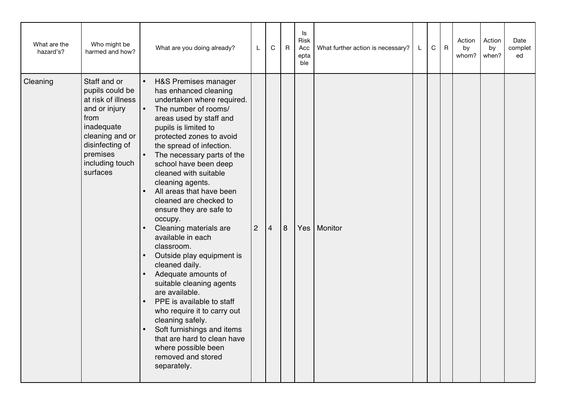| What are the<br>hazard's? | Who might be<br>harmed and how?                                                                                                                                               | What are you doing already?                                                                                                                                                                                                                                                                                                                                                                                                                                                                                                                                                                                                                                                                                                                                                                                           | L              | $\mathbf C$    | $\mathsf{R}$ | ls<br>Risk<br>Acc<br>epta<br>ble | What further action is necessary? | L | $\mathbf C$ | $\mathsf{R}$ | Action<br>by<br>whom? | Action<br>by<br>when? | Date<br>complet<br>ed |
|---------------------------|-------------------------------------------------------------------------------------------------------------------------------------------------------------------------------|-----------------------------------------------------------------------------------------------------------------------------------------------------------------------------------------------------------------------------------------------------------------------------------------------------------------------------------------------------------------------------------------------------------------------------------------------------------------------------------------------------------------------------------------------------------------------------------------------------------------------------------------------------------------------------------------------------------------------------------------------------------------------------------------------------------------------|----------------|----------------|--------------|----------------------------------|-----------------------------------|---|-------------|--------------|-----------------------|-----------------------|-----------------------|
| Cleaning                  | Staff and or<br>pupils could be<br>at risk of illness<br>and or injury<br>from<br>inadequate<br>cleaning and or<br>disinfecting of<br>premises<br>including touch<br>surfaces | H&S Premises manager<br>has enhanced cleaning<br>undertaken where required.<br>The number of rooms/<br>areas used by staff and<br>pupils is limited to<br>protected zones to avoid<br>the spread of infection.<br>The necessary parts of the<br>school have been deep<br>cleaned with suitable<br>cleaning agents.<br>All areas that have been<br>cleaned are checked to<br>ensure they are safe to<br>occupy.<br>Cleaning materials are<br>available in each<br>classroom.<br>Outside play equipment is<br>$\bullet$<br>cleaned daily.<br>Adequate amounts of<br>suitable cleaning agents<br>are available.<br>PPE is available to staff<br>who require it to carry out<br>cleaning safely.<br>Soft furnishings and items<br>that are hard to clean have<br>where possible been<br>removed and stored<br>separately. | $\overline{2}$ | $\overline{4}$ | 8            | Yes                              | Monitor                           |   |             |              |                       |                       |                       |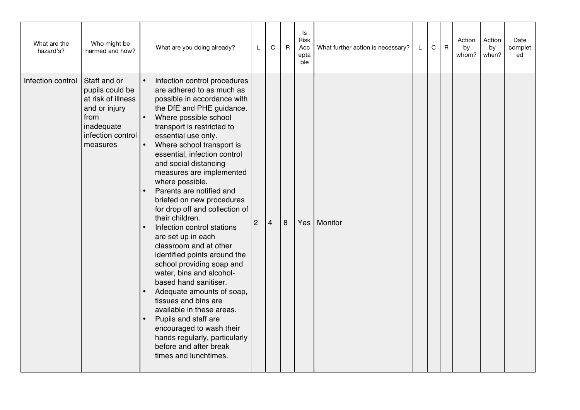| What are the<br>hazard's? | Who might be<br>harmed and how?                                                                                               | What are you doing already?                                                                                                                                                                                                                                                                                                                                                                                                                                                                                                                                                                                                                                                                                                                                                                                                                                                                                             | L              | C              | $\overline{R}$ | Is<br>Risk<br>Acc<br>epta<br>ble | What further action is necessary? | L | $\mathsf C$ | $\overline{R}$ | Action<br>by<br>whom? | Action<br>by<br>when? | Date<br>complet<br>ed |
|---------------------------|-------------------------------------------------------------------------------------------------------------------------------|-------------------------------------------------------------------------------------------------------------------------------------------------------------------------------------------------------------------------------------------------------------------------------------------------------------------------------------------------------------------------------------------------------------------------------------------------------------------------------------------------------------------------------------------------------------------------------------------------------------------------------------------------------------------------------------------------------------------------------------------------------------------------------------------------------------------------------------------------------------------------------------------------------------------------|----------------|----------------|----------------|----------------------------------|-----------------------------------|---|-------------|----------------|-----------------------|-----------------------|-----------------------|
| Infection control         | Staff and or<br>pupils could be<br>at risk of illness<br>and or injury<br>from<br>inadequate<br>infection control<br>measures | Infection control procedures<br>$\bullet$<br>are adhered to as much as<br>possible in accordance with<br>the DfE and PHE guidance.<br>Where possible school<br>$\bullet$<br>transport is restricted to<br>essential use only.<br>Where school transport is<br>$\bullet$<br>essential, infection control<br>and social distancing<br>measures are implemented<br>where possible.<br>Parents are notified and<br>briefed on new procedures<br>for drop off and collection of<br>their children.<br>Infection control stations<br>are set up in each<br>classroom and at other<br>identified points around the<br>school providing soap and<br>water, bins and alcohol-<br>based hand sanitiser.<br>Adequate amounts of soap,<br>tissues and bins are<br>available in these areas.<br>Pupils and staff are<br>encouraged to wash their<br>hands regularly, particularly<br>before and after break<br>times and lunchtimes. | $\overline{2}$ | $\overline{4}$ | 8              | Yes                              | Monitor                           |   |             |                |                       |                       |                       |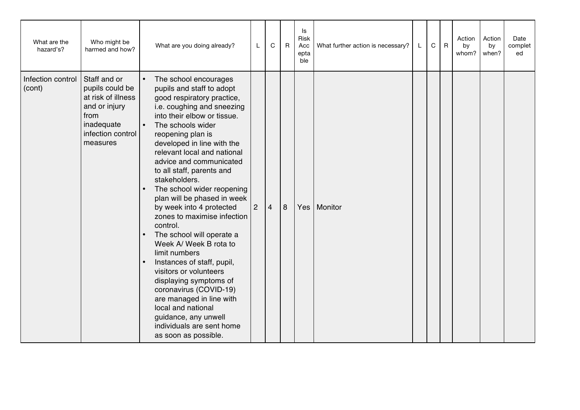| What are the<br>hazard's?   | Who might be<br>harmed and how?                                                                                               | What are you doing already?                                                                                                                                                                                                                                                                                                                                                                                                                                                                                                                                                                                                                                                                                                                                                                                                 | L              | C              | $\mathsf{R}$ | ls<br>Risk<br>Acc<br>epta<br>ble | What further action is necessary? | L. | C | $\mathsf{R}$ | Action<br>by<br>whom? | Action<br>by<br>when? | Date<br>complet<br>ed |
|-----------------------------|-------------------------------------------------------------------------------------------------------------------------------|-----------------------------------------------------------------------------------------------------------------------------------------------------------------------------------------------------------------------------------------------------------------------------------------------------------------------------------------------------------------------------------------------------------------------------------------------------------------------------------------------------------------------------------------------------------------------------------------------------------------------------------------------------------------------------------------------------------------------------------------------------------------------------------------------------------------------------|----------------|----------------|--------------|----------------------------------|-----------------------------------|----|---|--------------|-----------------------|-----------------------|-----------------------|
| Infection control<br>(cont) | Staff and or<br>pupils could be<br>at risk of illness<br>and or injury<br>from<br>inadequate<br>infection control<br>measures | $\bullet$<br>The school encourages<br>pupils and staff to adopt<br>good respiratory practice,<br>i.e. coughing and sneezing<br>into their elbow or tissue.<br>$\bullet$<br>The schools wider<br>reopening plan is<br>developed in line with the<br>relevant local and national<br>advice and communicated<br>to all staff, parents and<br>stakeholders.<br>The school wider reopening<br>$\bullet$<br>plan will be phased in week<br>by week into 4 protected<br>zones to maximise infection<br>control.<br>The school will operate a<br>Week A/ Week B rota to<br>limit numbers<br>Instances of staff, pupil,<br>visitors or volunteers<br>displaying symptoms of<br>coronavirus (COVID-19)<br>are managed in line with<br>local and national<br>guidance, any unwell<br>individuals are sent home<br>as soon as possible. | $\overline{2}$ | $\overline{4}$ | 8            | Yes                              | Monitor                           |    |   |              |                       |                       |                       |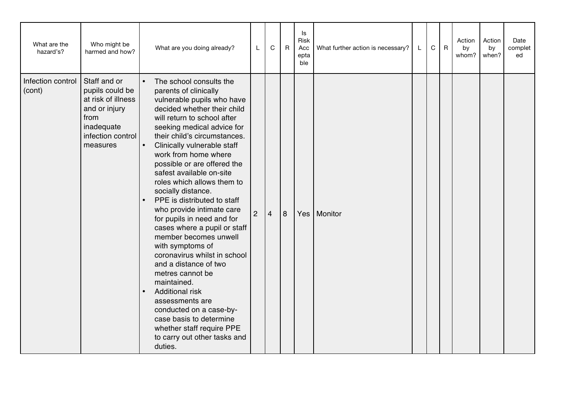| What are the<br>hazard's?   | Who might be<br>harmed and how?                                                                                               | What are you doing already?                                                                                                                                                                                                                                                                                                                                                                                                                                                                                                                                                                                                                                                                                                                                                                                                                              | L              | C              | $\mathsf{R}$ | ls<br>Risk<br>Acc<br>epta<br>ble | What further action is necessary? | L. | $\mathsf C$ | $\overline{R}$ | Action<br>by<br>whom? | Action<br>by<br>when? | Date<br>complet<br>ed |
|-----------------------------|-------------------------------------------------------------------------------------------------------------------------------|----------------------------------------------------------------------------------------------------------------------------------------------------------------------------------------------------------------------------------------------------------------------------------------------------------------------------------------------------------------------------------------------------------------------------------------------------------------------------------------------------------------------------------------------------------------------------------------------------------------------------------------------------------------------------------------------------------------------------------------------------------------------------------------------------------------------------------------------------------|----------------|----------------|--------------|----------------------------------|-----------------------------------|----|-------------|----------------|-----------------------|-----------------------|-----------------------|
| Infection control<br>(cont) | Staff and or<br>pupils could be<br>at risk of illness<br>and or injury<br>from<br>inadequate<br>infection control<br>measures | The school consults the<br>$\bullet$<br>parents of clinically<br>vulnerable pupils who have<br>decided whether their child<br>will return to school after<br>seeking medical advice for<br>their child's circumstances.<br>$\bullet$<br>Clinically vulnerable staff<br>work from home where<br>possible or are offered the<br>safest available on-site<br>roles which allows them to<br>socially distance.<br>PPE is distributed to staff<br>who provide intimate care<br>for pupils in need and for<br>cases where a pupil or staff<br>member becomes unwell<br>with symptoms of<br>coronavirus whilst in school<br>and a distance of two<br>metres cannot be<br>maintained.<br><b>Additional risk</b><br>assessments are<br>conducted on a case-by-<br>case basis to determine<br>whether staff require PPE<br>to carry out other tasks and<br>duties. | $\overline{2}$ | $\overline{4}$ | 8            |                                  | Yes   Monitor                     |    |             |                |                       |                       |                       |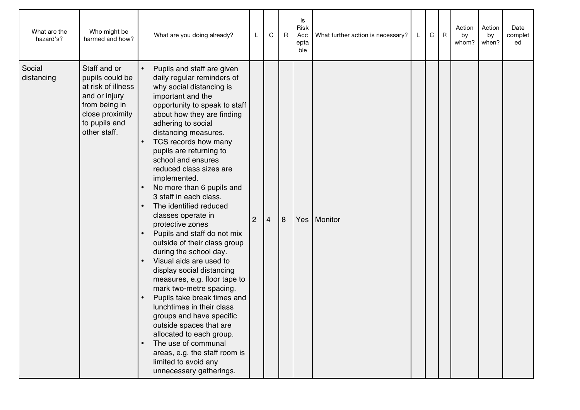| What are the<br>hazard's? | Who might be<br>harmed and how?                                                                                                             | What are you doing already?                                                                                                                                                                                                                                                                                                                                                                                                                                                                                                                                                                                                                                                                                                                                                                                                                                                                                                                 | L              | C | $\mathsf{R}$ | Is<br>Risk<br>Acc<br>epta<br>ble | What further action is necessary? | L | C | R | Action<br>by<br>whom? | Action<br>by<br>when? | Date<br>complet<br>ed |
|---------------------------|---------------------------------------------------------------------------------------------------------------------------------------------|---------------------------------------------------------------------------------------------------------------------------------------------------------------------------------------------------------------------------------------------------------------------------------------------------------------------------------------------------------------------------------------------------------------------------------------------------------------------------------------------------------------------------------------------------------------------------------------------------------------------------------------------------------------------------------------------------------------------------------------------------------------------------------------------------------------------------------------------------------------------------------------------------------------------------------------------|----------------|---|--------------|----------------------------------|-----------------------------------|---|---|---|-----------------------|-----------------------|-----------------------|
| Social<br>distancing      | Staff and or<br>pupils could be<br>at risk of illness<br>and or injury<br>from being in<br>close proximity<br>to pupils and<br>other staff. | Pupils and staff are given<br>daily regular reminders of<br>why social distancing is<br>important and the<br>opportunity to speak to staff<br>about how they are finding<br>adhering to social<br>distancing measures.<br>TCS records how many<br>pupils are returning to<br>school and ensures<br>reduced class sizes are<br>implemented.<br>No more than 6 pupils and<br>3 staff in each class.<br>The identified reduced<br>classes operate in<br>protective zones<br>Pupils and staff do not mix<br>outside of their class group<br>during the school day.<br>Visual aids are used to<br>display social distancing<br>measures, e.g. floor tape to<br>mark two-metre spacing.<br>Pupils take break times and<br>lunchtimes in their class<br>groups and have specific<br>outside spaces that are<br>allocated to each group.<br>The use of communal<br>areas, e.g. the staff room is<br>limited to avoid any<br>unnecessary gatherings. | $\overline{2}$ | 4 | 8            |                                  | Yes   Monitor                     |   |   |   |                       |                       |                       |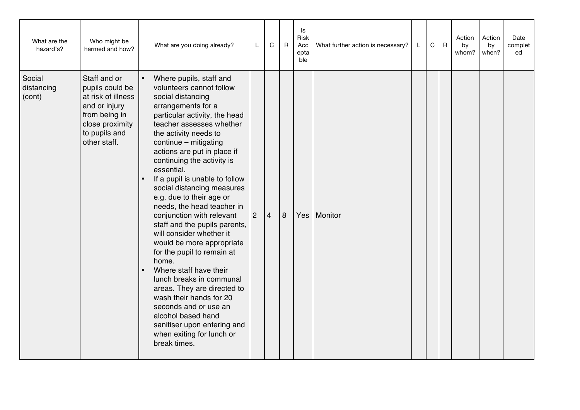| What are the<br>hazard's?      | Who might be<br>harmed and how?                                                                                                             | What are you doing already?                                                                                                                                                                                                                                                                                                                                                                                                                                                                                                                                                                                                                                                                                                                                                                                                              | L              | C              | $\mathsf{R}$ | ls<br>Risk<br>Acc<br>epta<br>ble | What further action is necessary? | L. | $\mathsf C$ | $\mathsf{R}$ | Action<br>by<br>whom? | Action<br>by<br>when? | Date<br>complet<br>ed |
|--------------------------------|---------------------------------------------------------------------------------------------------------------------------------------------|------------------------------------------------------------------------------------------------------------------------------------------------------------------------------------------------------------------------------------------------------------------------------------------------------------------------------------------------------------------------------------------------------------------------------------------------------------------------------------------------------------------------------------------------------------------------------------------------------------------------------------------------------------------------------------------------------------------------------------------------------------------------------------------------------------------------------------------|----------------|----------------|--------------|----------------------------------|-----------------------------------|----|-------------|--------------|-----------------------|-----------------------|-----------------------|
| Social<br>distancing<br>(cont) | Staff and or<br>pupils could be<br>at risk of illness<br>and or injury<br>from being in<br>close proximity<br>to pupils and<br>other staff. | Where pupils, staff and<br>$\bullet$<br>volunteers cannot follow<br>social distancing<br>arrangements for a<br>particular activity, the head<br>teacher assesses whether<br>the activity needs to<br>continue - mitigating<br>actions are put in place if<br>continuing the activity is<br>essential.<br>If a pupil is unable to follow<br>social distancing measures<br>e.g. due to their age or<br>needs, the head teacher in<br>conjunction with relevant<br>staff and the pupils parents,<br>will consider whether it<br>would be more appropriate<br>for the pupil to remain at<br>home.<br>Where staff have their<br>lunch breaks in communal<br>areas. They are directed to<br>wash their hands for 20<br>seconds and or use an<br>alcohol based hand<br>sanitiser upon entering and<br>when exiting for lunch or<br>break times. | $\overline{2}$ | $\overline{4}$ | 8            | Yes                              | Monitor                           |    |             |              |                       |                       |                       |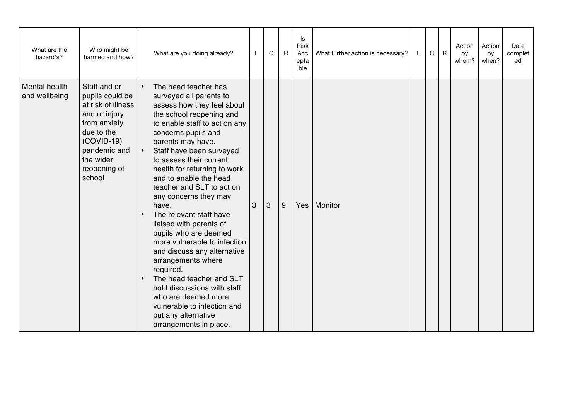| What are the<br>hazard's?             | Who might be<br>harmed and how?                                                                                                                                             | What are you doing already?                                                                                                                                                                                                                                                                                                                                                                                                                                                                                                                                                                                                                                                                                                                         | L | $\mathsf C$  | $\mathsf{R}$ | Is<br>Risk<br>Acc<br>epta<br>ble | What further action is necessary? | L | $\mathsf C$ | $\mathsf R$ | Action<br>by<br>whom? | Action<br>by<br>when? | Date<br>complet<br>ed |
|---------------------------------------|-----------------------------------------------------------------------------------------------------------------------------------------------------------------------------|-----------------------------------------------------------------------------------------------------------------------------------------------------------------------------------------------------------------------------------------------------------------------------------------------------------------------------------------------------------------------------------------------------------------------------------------------------------------------------------------------------------------------------------------------------------------------------------------------------------------------------------------------------------------------------------------------------------------------------------------------------|---|--------------|--------------|----------------------------------|-----------------------------------|---|-------------|-------------|-----------------------|-----------------------|-----------------------|
| <b>Mental health</b><br>and wellbeing | Staff and or<br>pupils could be<br>at risk of illness<br>and or injury<br>from anxiety<br>due to the<br>$(COVID-19)$<br>pandemic and<br>the wider<br>reopening of<br>school | The head teacher has<br>$\bullet$<br>surveyed all parents to<br>assess how they feel about<br>the school reopening and<br>to enable staff to act on any<br>concerns pupils and<br>parents may have.<br>Staff have been surveyed<br>$\bullet$<br>to assess their current<br>health for returning to work<br>and to enable the head<br>teacher and SLT to act on<br>any concerns they may<br>have.<br>The relevant staff have<br>liaised with parents of<br>pupils who are deemed<br>more vulnerable to infection<br>and discuss any alternative<br>arrangements where<br>required.<br>The head teacher and SLT<br>hold discussions with staff<br>who are deemed more<br>vulnerable to infection and<br>put any alternative<br>arrangements in place. | 3 | $\mathbf{3}$ | 9            |                                  | Yes   Monitor                     |   |             |             |                       |                       |                       |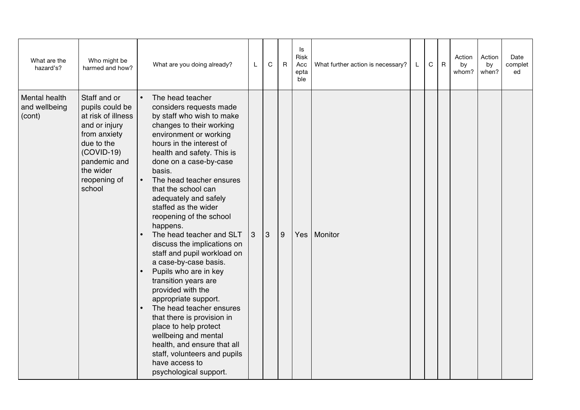| What are the<br>hazard's?                | Who might be<br>harmed and how?                                                                                                                                             | What are you doing already?                                                                                                                                                                                                                                                                                                                                                                                                                                                                                                                                                                                                                                                                                                                                                                                                 | L | C              | $\overline{R}$ | ls<br>Risk<br>Acc<br>epta<br>ble | What further action is necessary? | L | C | $\mathsf{R}$ | Action<br>by<br>whom? | Action<br>by<br>when? | Date<br>complet<br>ed |
|------------------------------------------|-----------------------------------------------------------------------------------------------------------------------------------------------------------------------------|-----------------------------------------------------------------------------------------------------------------------------------------------------------------------------------------------------------------------------------------------------------------------------------------------------------------------------------------------------------------------------------------------------------------------------------------------------------------------------------------------------------------------------------------------------------------------------------------------------------------------------------------------------------------------------------------------------------------------------------------------------------------------------------------------------------------------------|---|----------------|----------------|----------------------------------|-----------------------------------|---|---|--------------|-----------------------|-----------------------|-----------------------|
| Mental health<br>and wellbeing<br>(cont) | Staff and or<br>pupils could be<br>at risk of illness<br>and or injury<br>from anxiety<br>due to the<br>$(COVID-19)$<br>pandemic and<br>the wider<br>reopening of<br>school | The head teacher<br>considers requests made<br>by staff who wish to make<br>changes to their working<br>environment or working<br>hours in the interest of<br>health and safety. This is<br>done on a case-by-case<br>basis.<br>The head teacher ensures<br>$\bullet$<br>that the school can<br>adequately and safely<br>staffed as the wider<br>reopening of the school<br>happens.<br>The head teacher and SLT<br>discuss the implications on<br>staff and pupil workload on<br>a case-by-case basis.<br>Pupils who are in key<br>transition years are<br>provided with the<br>appropriate support.<br>The head teacher ensures<br>that there is provision in<br>place to help protect<br>wellbeing and mental<br>health, and ensure that all<br>staff, volunteers and pupils<br>have access to<br>psychological support. | 3 | $\overline{3}$ | 9              | Yes                              | Monitor                           |   |   |              |                       |                       |                       |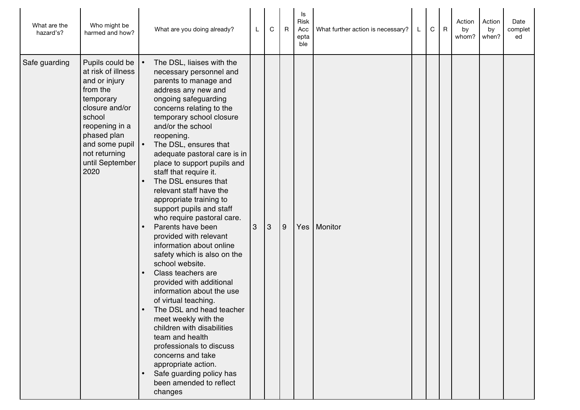| What are the<br>hazard's? | Who might be<br>harmed and how?                                                                                                                                                                            | What are you doing already?                                                                                                                                                                                                                                                                                                                                                                                                                                                                                                                                                                                                                                                                                                                                                                                                                                                                                                                                          | L | C | $\overline{R}$ | ls<br>Risk<br>Acc<br>epta<br>ble | What further action is necessary? | L | $\mathbf C$ | $\mathsf{R}$ | Action<br>by<br>whom? | Action<br>by<br>when? | Date<br>complet<br>ed |
|---------------------------|------------------------------------------------------------------------------------------------------------------------------------------------------------------------------------------------------------|----------------------------------------------------------------------------------------------------------------------------------------------------------------------------------------------------------------------------------------------------------------------------------------------------------------------------------------------------------------------------------------------------------------------------------------------------------------------------------------------------------------------------------------------------------------------------------------------------------------------------------------------------------------------------------------------------------------------------------------------------------------------------------------------------------------------------------------------------------------------------------------------------------------------------------------------------------------------|---|---|----------------|----------------------------------|-----------------------------------|---|-------------|--------------|-----------------------|-----------------------|-----------------------|
| Safe guarding             | Pupils could be<br>at risk of illness<br>and or injury<br>from the<br>temporary<br>closure and/or<br>school<br>reopening in a<br>phased plan<br>and some pupil<br>not returning<br>until September<br>2020 | The DSL, liaises with the<br>necessary personnel and<br>parents to manage and<br>address any new and<br>ongoing safeguarding<br>concerns relating to the<br>temporary school closure<br>and/or the school<br>reopening.<br>The DSL, ensures that<br>adequate pastoral care is in<br>place to support pupils and<br>staff that require it.<br>The DSL ensures that<br>relevant staff have the<br>appropriate training to<br>support pupils and staff<br>who require pastoral care.<br>Parents have been<br>provided with relevant<br>information about online<br>safety which is also on the<br>school website.<br>Class teachers are<br>provided with additional<br>information about the use<br>of virtual teaching.<br>The DSL and head teacher<br>meet weekly with the<br>children with disabilities<br>team and health<br>professionals to discuss<br>concerns and take<br>appropriate action.<br>Safe guarding policy has<br>been amended to reflect<br>changes | 3 | 3 | 9              | Yes                              | Monitor                           |   |             |              |                       |                       |                       |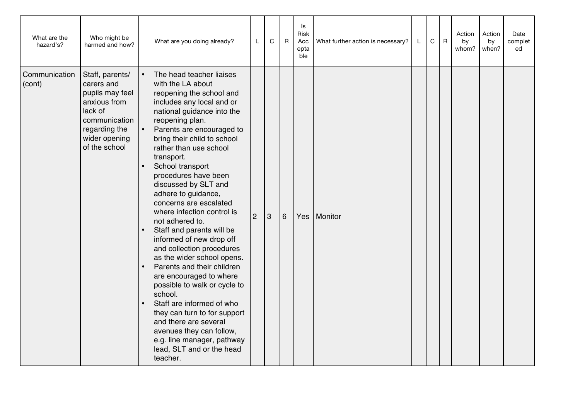| What are the<br>hazard's? | Who might be<br>harmed and how?                                                                                                                 | What are you doing already?                                                                                                                                                                                                                                                                                                                                                                                                                                                                                                                                                                                                                                                                                                                                                                                                                        | L              | C | $\overline{R}$ | ls<br>Risk<br>Acc<br>epta<br>ble | What further action is necessary? | L. | $\mathsf C$ | $\mathsf{R}$ | Action<br>by<br>whom? | Action<br>by<br>when? | Date<br>complet<br>ed |
|---------------------------|-------------------------------------------------------------------------------------------------------------------------------------------------|----------------------------------------------------------------------------------------------------------------------------------------------------------------------------------------------------------------------------------------------------------------------------------------------------------------------------------------------------------------------------------------------------------------------------------------------------------------------------------------------------------------------------------------------------------------------------------------------------------------------------------------------------------------------------------------------------------------------------------------------------------------------------------------------------------------------------------------------------|----------------|---|----------------|----------------------------------|-----------------------------------|----|-------------|--------------|-----------------------|-----------------------|-----------------------|
| Communication<br>(cont)   | Staff, parents/<br>carers and<br>pupils may feel<br>anxious from<br>lack of<br>communication<br>regarding the<br>wider opening<br>of the school | The head teacher liaises<br>with the LA about<br>reopening the school and<br>includes any local and or<br>national guidance into the<br>reopening plan.<br>Parents are encouraged to<br>bring their child to school<br>rather than use school<br>transport.<br>School transport<br>procedures have been<br>discussed by SLT and<br>adhere to guidance,<br>concerns are escalated<br>where infection control is<br>not adhered to.<br>Staff and parents will be<br>informed of new drop off<br>and collection procedures<br>as the wider school opens.<br>Parents and their children<br>are encouraged to where<br>possible to walk or cycle to<br>school.<br>Staff are informed of who<br>they can turn to for support<br>and there are several<br>avenues they can follow,<br>e.g. line manager, pathway<br>lead, SLT and or the head<br>teacher. | $\overline{2}$ | 3 | 6              |                                  | Yes   Monitor                     |    |             |              |                       |                       |                       |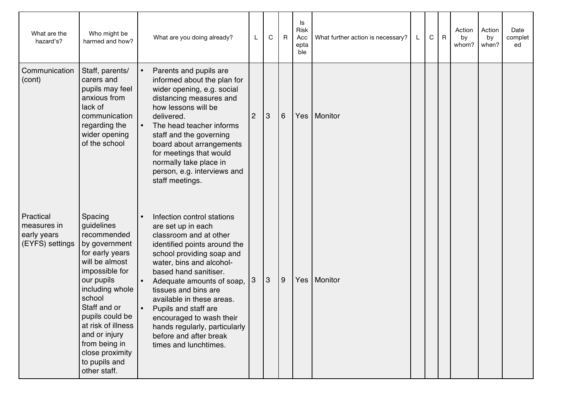| What are the<br>hazard's?                                  | Who might be<br>harmed and how?                                                                                                                                                                                                                                                                        | What are you doing already?                                                                                                                                                                                                                                                                                                                                                                                            |                | C         | $\mathsf{R}$ | Is<br><b>Risk</b><br>Acc<br>epta<br>ble | What further action is necessary? | L | C | $\mathsf R$ | Action<br>by<br>whom? | Action<br>by<br>when? | Date<br>complet<br>ed |
|------------------------------------------------------------|--------------------------------------------------------------------------------------------------------------------------------------------------------------------------------------------------------------------------------------------------------------------------------------------------------|------------------------------------------------------------------------------------------------------------------------------------------------------------------------------------------------------------------------------------------------------------------------------------------------------------------------------------------------------------------------------------------------------------------------|----------------|-----------|--------------|-----------------------------------------|-----------------------------------|---|---|-------------|-----------------------|-----------------------|-----------------------|
| Communication<br>(cont)                                    | Staff, parents/<br>carers and<br>pupils may feel<br>anxious from<br>lack of<br>communication<br>regarding the<br>wider opening<br>of the school                                                                                                                                                        | Parents and pupils are<br>informed about the plan for<br>wider opening, e.g. social<br>distancing measures and<br>how lessons will be<br>delivered.<br>The head teacher informs<br>staff and the governing<br>board about arrangements<br>for meetings that would<br>normally take place in<br>person, e.g. interviews and<br>staff meetings.                                                                          | $\overline{c}$ | 3         | $6\,$        | Yes                                     | Monitor                           |   |   |             |                       |                       |                       |
| Practical<br>measures in<br>early years<br>(EYFS) settings | Spacing<br>guidelines<br>recommended<br>by government<br>for early years<br>will be almost<br>impossible for<br>our pupils<br>including whole<br>school<br>Staff and or<br>pupils could be<br>at risk of illness<br>and or injury<br>from being in<br>close proximity<br>to pupils and<br>other staff. | Infection control stations<br>are set up in each<br>classroom and at other<br>identified points around the<br>school providing soap and<br>water, bins and alcohol-<br>based hand sanitiser.<br>Adequate amounts of soap,<br>tissues and bins are<br>available in these areas.<br>Pupils and staff are<br>encouraged to wash their<br>hands regularly, particularly<br>before and after break<br>times and lunchtimes. | 3              | $\vert$ 3 | 9            | Yes                                     | Monitor                           |   |   |             |                       |                       |                       |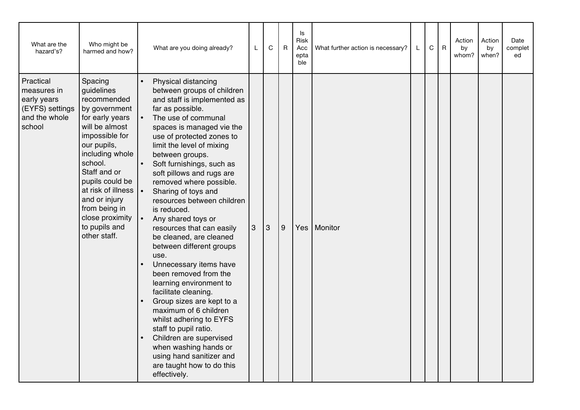| What are the<br>hazard's?                                                             | Who might be<br>harmed and how?                                                                                                                                                                                                                                                                          | What are you doing already?                                                                                                                                                                                                                                                                                                                                                                                                                                                                                                                                                                                                                                                                                                                                                                                                                                   | L | $\mathsf C$ | R              | Is<br>Risk<br>Acc<br>epta<br>ble | What further action is necessary? | L | $\mathbf C$ | $\mathsf{R}$ | Action<br>by<br>whom? | Action<br>by<br>when? | Date<br>complet<br>ed |
|---------------------------------------------------------------------------------------|----------------------------------------------------------------------------------------------------------------------------------------------------------------------------------------------------------------------------------------------------------------------------------------------------------|---------------------------------------------------------------------------------------------------------------------------------------------------------------------------------------------------------------------------------------------------------------------------------------------------------------------------------------------------------------------------------------------------------------------------------------------------------------------------------------------------------------------------------------------------------------------------------------------------------------------------------------------------------------------------------------------------------------------------------------------------------------------------------------------------------------------------------------------------------------|---|-------------|----------------|----------------------------------|-----------------------------------|---|-------------|--------------|-----------------------|-----------------------|-----------------------|
| Practical<br>measures in<br>early years<br>(EYFS) settings<br>and the whole<br>school | Spacing<br>guidelines<br>recommended<br>by government<br>for early years<br>will be almost<br>impossible for<br>our pupils,<br>including whole<br>school.<br>Staff and or<br>pupils could be<br>at risk of illness<br>and or injury<br>from being in<br>close proximity<br>to pupils and<br>other staff. | Physical distancing<br>between groups of children<br>and staff is implemented as<br>far as possible.<br>The use of communal<br>spaces is managed vie the<br>use of protected zones to<br>limit the level of mixing<br>between groups.<br>Soft furnishings, such as<br>soft pillows and rugs are<br>removed where possible.<br>Sharing of toys and<br>resources between children<br>is reduced.<br>Any shared toys or<br>resources that can easily<br>be cleaned, are cleaned<br>between different groups<br>use.<br>Unnecessary items have<br>been removed from the<br>learning environment to<br>facilitate cleaning.<br>Group sizes are kept to a<br>maximum of 6 children<br>whilst adhering to EYFS<br>staff to pupil ratio.<br>Children are supervised<br>when washing hands or<br>using hand sanitizer and<br>are taught how to do this<br>effectively. | 3 | $\vert$ 3   | $\overline{9}$ | Yes                              | Monitor                           |   |             |              |                       |                       |                       |